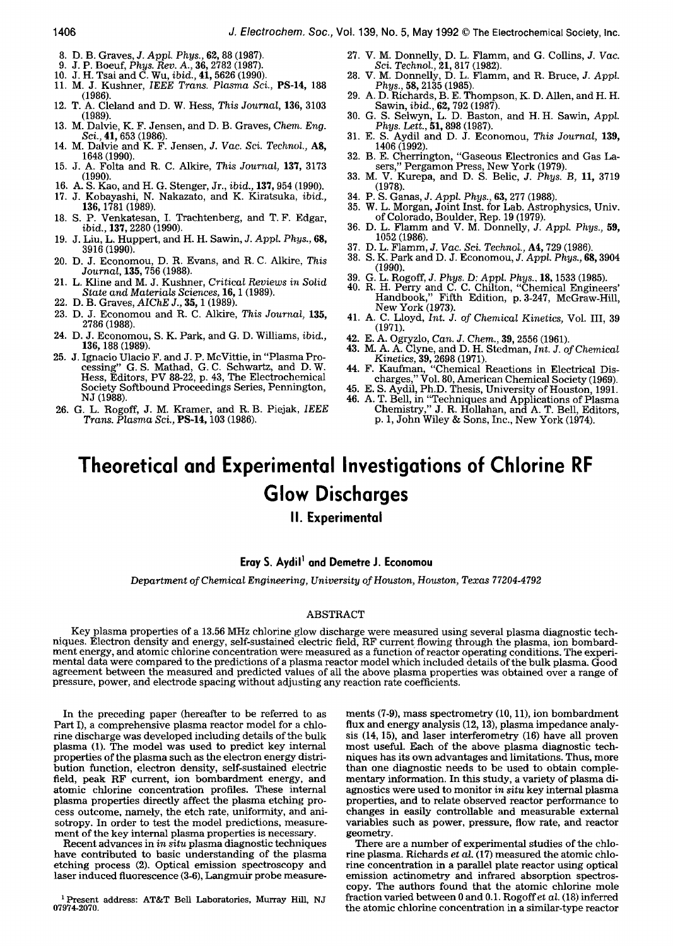- 8. D. B. Graves, J. *Appl. Phys.,* 62, 88 (1987).
- 9. J. P. Boeuf, *Phys. Rev. A.,* 36, 2782 (1987).
- 10. J. H. Tsai and C. Wu, *ibid.,* 41, 5626 (1990).
- 11. M. J. Kushner, *IEEE Trans. Plasma Sci.,* PS-14, 188  $(1986)$
- 12. T. A. Cleland and D. W. Hess, *This Journal,* 136, 3103 (1989).
- 13. M. Dalvie, K. F. Jensen, and D. B. Graves, *Chem. Eng. Sci.,* **41,** 653 (1986).
- 14. M. Dalvie and K. F. Jensen, J. *Vac. Sci. Technol.,* A8, 1648 (1990).
- 15. J. A. Folta and R. C. Alkire, *This Journal,* 137, 3173 (1990).
- 16. A. S. Kao, and H. G. Stenger, Jr., *ibid.,* 137, 954 (1990).
- 17. J. Kobayashi, N. Nakazato, and K. Kiratsuka, *ibid.,*  136, 1781 (1989).
- 18. S. P. Venkatesan, I. Trachtenberg, and T.F. Edgar, *ibid.,* 137, 2280 (1990).
- 19. J. Liu, L. Huppert, and H. H. Sawin, J. *Appl. Phys.,* 68, 3916 (1990).
- 20. D. J. Economou, D. R. Evans, and R. C. Alkire, *This Journal,* 135, 756 (1988).
- 21. L. Kline and M. J. Kushner, *Critical Reviews in Solid State and Materials Sciences,* 16, 1 (1989).
- 22. D. B. Graves, *AIChE* J., 35, 1 (1989).
- 23. D. J. Economou and R. C. Alkire, *This Journal,* 135, 2786 (1988).
- 24. D. J. Economou, S. K. Park, and G. D. Williams, *ibid.,*  136, 188 (1989).
- 25. J. Ignacio Ulacio F. and J. P. McVittie, in "Plasma Processing" G.S. Mathad, G.C. Schwartz, and D.W. Hess, Editors, PV 88-22, p. 43, The Electrochemical Society Softbound Proceedings Series, Pennington, NJ (1988).
- 26. G. L. Rogoff, J. M. Kramer, and R.B. Piejak, *IEEE Trans. Plasma Sci.,* PS-14, 103 (1986).
- 27. V. M. DonneUy, D. L. Flamm, and G. Collins, *J. Vac. Sci. Technol.,* 21, 817 (1982).
- 28. V. M. DonneUy, D. L. Flamm, and R. Bruce, J. *Appl. Phys.,* 58, 2135 (1985).
- 29. A. D. Richards, B. E. Thompson, K. D. Allen, and H. H. Sawin, *ibid.,* 62, 792 (1987).
- 30. G. S. Selwyn, L. D. Baston, and H.H. Sawin, *Appl. Phys. Lett.,* 51, 898 (1987).
- 31. E. S. Aydil and D. J. Economou, *This Journal,* 139, 1406 (1992).
- 32. B. E. Cherrington, "Gaseous Electronics and Gas Lasers," Pergamon Press, New York (1979).
- 33. M. V. Kurepa, and D. S. Belic, *J. Phys. B,* 11, 3719 (1978).
- 34. P. S. Ganas, J. *Appl. Phys.,* 63, 277 (1988).
- 35. W. L. Morgan, Joint Inst. for Lab. Astrophysics, Univ. of Colorado, Boulder, Rep. 19 (1979).
- 36. D. L. Flamm and V. M. Donnelly, J. *Appl. Phys.,* **59,**  1052 (1986).
- 87. D. L. Flamm, J. *Vac. Sci. TechnoI.,* A4, 729 (1986).
- 38. S. K. Park and D. J. Economou, *J. Appl. Phys.,* 68, 3904 (1990).
- 39. G. L. Rogoff, J. *Phys. D: Appl. Phys.,* 18, 1533 (1985).
- 40. R. H. Perry and C. C. Chilton, "Chemical Engineers' Handbook," Fifth Edition, p. 3-247, McGraw-Hill, New York (1973).
- 41. A. C. Lloyd, *Int. J. of Chemical Kinetics,* Vol. III, 39 (1971).
- 42. E.A. Ogryzlo, *Can. J. Chem.,* 39, 2556 (1961).
- 43. M. A. A. Clyne, and D. H. Stedman, *Int. J. of Chemical Kinetics,* 39, 2698 (1971).
- 44. F. Kaufman, "Chemical Reactions in Electrical Discharges," Vol. 80, American Chemical Society (1969).
- 45. E. S. Aydil, Ph.D. Thesis, University of Houston, 1991. 46. A. T. Bell, in "Techniques and Applications of Plasma Chemistry," J. R. Hollahan, and A. T. Bell, Editors,
	- p. 1, John Wiley & Sons, Inc., New York (1974).

# **Theoretical and Experimental Investigations of Chlorine RF Glow Discharges**

**II. Experimental** 

# **Eray S. Aydil 1 and Demetre J. Economou**

*Department of Chemical Engineering, University of Houston, Houston, Texas 77204-4792* 

# ABSTRACT

Key plasma properties of a 13.56 MHz chlorine glow discharge were measured using several plasma diagnostic techniques. Electron density and energy, self-sustained electric field, RF current flowing through the plasma, ion bombardment energy, and atomic chlorine concentration were measured as a function of reactor operating conditions. The experimental data were compared to the predictions of a plasma reactor model which included details of the bulk plasma. Good agreement between the measured and predicted values of all the above plasma properties was obtained over a range of pressure, power, and electrode spacing without adjusting any reaction rate coefficients.

In the preceding paper (hereafter to be referred to as Part I), a comprehensive plasma reactor model for a chlorine discharge was developed including details of the bulk plasma (1). The model was used to predict key internal properties of the plasma such as the electron energy distribution function, electron density, self-sustained electric field, peak RF current, ion bombardment energy, and atomic chlorine concentration profiles. These internal plasma properties directly affect the plasma etching process outcome, namely, the etch rate, uniformity, and anisotropy. In order to test the model predictions, measurement of the key internal plasma properties is necessary.

Recent advances in *in situ* plasma diagnostic techniques have contributed to basic understanding of the plasma etching process (2). Optical emission spectroscopy and laser induced fluorescence (3-6), Langmuir probe measure-

1 Present address: AT&T Bell Laboratories, Murray Hill, NJ 07974-2070.

ments (7-9), mass spectrometry (10, 11), ion bombardment flux and energy analysis (12, 13), plasma impedance analysis (14, 15), and laser interferometry (16) have all proven most useful. Each of the above plasma diagnostic techniques has its own advantages and limitations. Thus, more than one diagnostic needs to be used to obtain complementary information. In this study, a variety of plasma diagnostics were used to monitor *in situ* key internal plasma properties, and to relate observed reactor performance to changes in easily controllable and measurable external variables such as power, pressure, flow rate, and reactor geometry.

There are a number of experimental studies of the chlorine plasma. Richards *et at.* (17) measured the atomic chlorine concentration in a parallel plate reactor using optical emission actinometry and infrared absorption spectroscopy. The authors found that the atomic chlorine mole fraction varied between 0 and 0.1. Rogoff *et al.* (18) inferred the atomic chlorine concentration in a similar-type reactor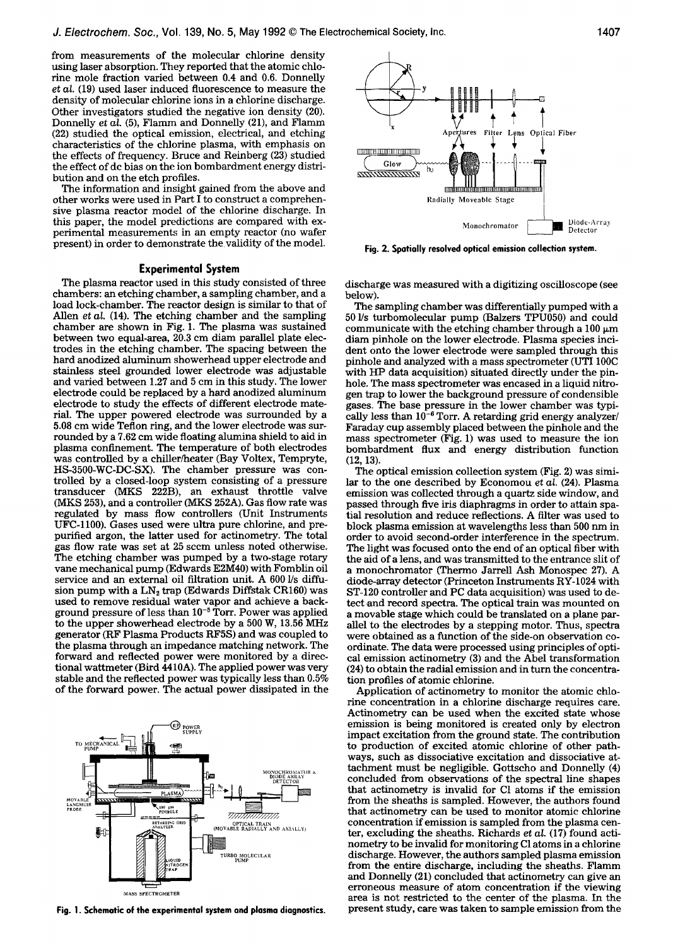from measurements of the molecular chlorine density using laser absorption. They reported that the atomic chlorine mole fraction varied between 0.4 and 0.6. Donnelly *et al.* (19) used laser induced fluorescence to measure the density of molecular chlorine ions in a chlorine discharge. Other investigators studied the negative ion density (20). Donnelly *et al.* (5), Flamm and Donnelly (21), and Flamm (22) studied the optical emission, electrical, and etching characteristics of the chlorine plasma, with emphasis on the effects of frequency. Bruce and Reinberg (23) studied the effect of dc bias on the ion bombardment energy distribution and on the etch profiles.

The information and insight gained from the above and other works were used in Part I to construct a comprehensive plasma reactor model of the chlorine discharge. In this paper, the model predictions are compared with experimental measurements in an empty reactor (no wafer present) in order to demonstrate the validity of the model.

# **Experimental System**

The plasma reactor used in this study consisted of three chambers: an etching chamber, a sampling chamber, and a load lock-chamber. The reactor design is similar to that of Allen *et al.* (14). The etching chamber and the sampling chamber are shown in Fig. 1. The plasma was sustained between two equal-area, 20.3 cm diam parallel plate electrodes in the etching chamber. The spacing between the hard anodized aluminum showerhead upper electrode and stainless steel grounded lower electrode was adjustable and varied between 1.27 and 5 cm in this study. The lower electrode could be replaced by a hard anodized aluminum electrode to study the effects of different electrode material. The upper powered electrode was surrounded by a 5.08 cm wide Teflon ring, and the lower electrode was surrounded by a 7.62 cm wide floating alumina shield to aid in plasma confinement. The temperature of both electrodes was controlled by a chiller/heater (Bay Voltex, Tempryte, HS-3500-WC-DC-SX). The chamber pressure was controlled by a closed-loop system consisting of a pressure transducer (MKS 222B), an exhaust throttle valve (MKS 253), and a controller (MKS 252A). Gas flow rate was regulated by mass flow controllers (Unit Instruments UFC-1100). Gases used were ultra pure chlorine, and prepurified argon, the latter used for actinometry. The total gas flow rate was set at 25 sccm unless noted otherwise. The etching chamber was pumped by a two-stage rotary vane mechanical pump (Edwards E2M40) with Fomblin oil service and an external oil filtration unit. A 600 l/s diffusion pump with a  $LN_2$  trap (Edwards Diffstak CR160) was used to remove residual water vapor and achieve a background pressure of less than  $10^{-5}$  Torr. Power was applied to the upper showerhead electrode by a 500 W, 13.56 MHz generator (RF Plasma Products RF5S) and was coupled to the plasma through an impedance matching network. The forward and reflected power were monitored by a directional wattmeter (Bird 4410A). The applied power was very stable and the reflected power was typically less than 0.5% of the forward power. The actual power dissipated in the



**Fig. 1. Schematic of the experimental system and plasma diagnostics.** 



**Fig. 2. Spatially resolved optical emission collection system.** 

discharge was measured with a digitizing oscilloscope (see below).

The sampling chamber was differentially pumped with a 50 Ys turbomolecular pump (Balzers TPU050) and could communicate with the etching chamber through a  $100 \mu m$ diam pinhole on the lower electrode. Plasma species incident onto the lower electrode were sampled through this pinhole and analyzed with a mass spectrometer (UTI 100C with HP data acquisition) situated directly under the pinhole. The mass spectrometer was encased in a liquid nitrogen trap to lower the background pressure of condensible gases. The base pressure in the lower chamber was typically less than  $10^{-6}$  Torr. A retarding grid energy analyzer/ Faraday cup assembly placed between the pinhole and the mass spectrometer (Fig. 1) was used to measure the ion bombardment flux and energy distribution function (12, 13).

The optical emission collection system (Fig. 2) was similar to the one described by Economou *et al.* (24). Plasma emission was collected through a quartz side window, and passed through five iris diaphragms in order to attain spatial resolution and reduce reflections. A filter was used to block plasma emission at wavelengths less than 500 nm in order to avoid second-order interference in the spectrum. The light was focused onto the end of an optical fiber with the aid of a lens, and was transmitted to the entrance slit of a monochromator (Thermo Jarrell Ash Monospec 27). A diode-array detector (Princeton Instruments RY-1024 with ST-120 controller and PC data acquisition) was used to detect and record spectra. The optical train was mounted on a movable stage which could be translated on a plane parallel to the electrodes by a stepping motor. Thus, spectra were obtained as a function of the side-on observation coordinate. The data were processed using principles of optical emission actinometry (3) and the Abel transformation (24) to obtain the radial emission and in turn the concentration profiles of atomic chlorine.

Application of actinometry to monitor the atomic chlorine concentration in a chlorine discharge requires care. Actinometry can be used when the excited state whose emission is being monitored is created only by electron impact excitation from the ground state. The contribution to production of excited atomic chlorine of other pathways, such as dissociative excitation and dissociative attachment must be negligible. Gottscho and Donnelly (4) concluded from observations of the spectral line shapes that actinometry is invalid for C1 atoms if the emission from the sheaths is sampled. However, the authors found that actinometry can be used to monitor atomic chlorine concentration if emission is sampled from the plasma center, excluding the sheaths. Richards *et al.* (17) found actinometry to be invalid for monitoring C1 atoms in a chlorine discharge. However, the authors sampled plasma emission from the entire discharge, including the sheaths. Flamm and Donnelly (21) concluded that actinometry can give an erroneous measure of atom concentration if the viewing area is not restricted to the center of the plasma. In the present study, care was taken to sample emission from the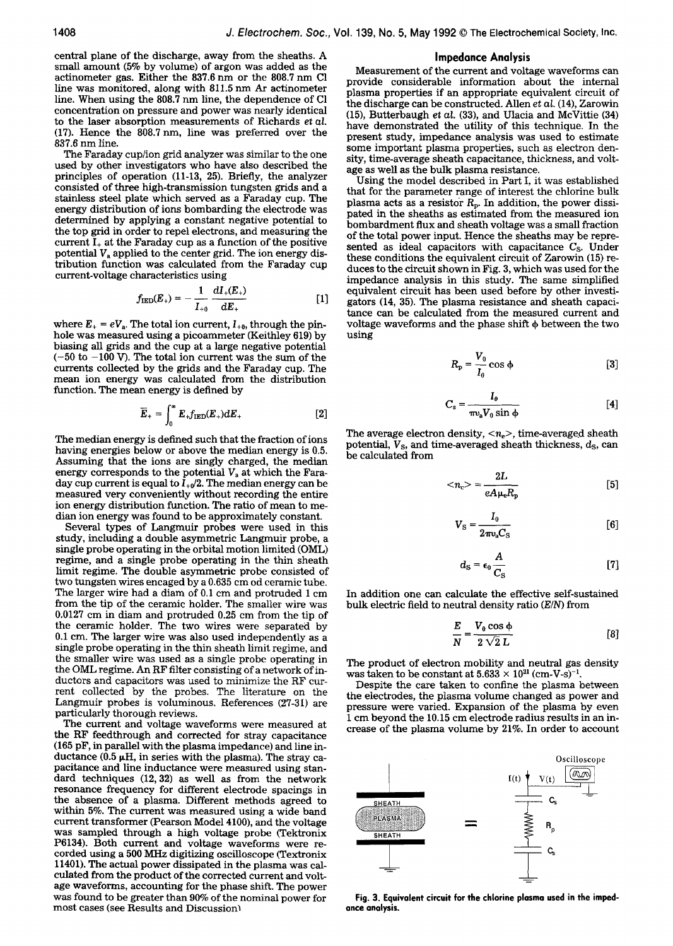central plane of the discharge, away from the sheaths. A small amount (5% by volume) of argon was added as the actinometer gas. Either the 837.6 nm or the 808.7 nm C1 line was monitored, along with 811.5 nm Ar actinometer line. When using the 808.7 nm line, the dependence of C1 concentration on pressure and power was nearly identical to the laser absorption measurements of Richards *et al.*  (17). Hence the 808.7 nm, line was preferred over the 837.6 nm line.

The Faraday cup/ion grid analyzer was similar to the one used by other investigators who have also described the principles of operation (11-13, 25). Briefly, the analyzer consisted of three high-transmission tungsten grids and a stainless steel plate which served as a Faraday cup. The energy distribution of ions bombarding the electrode was determined by applying a constant negative potential to the top grid in order to repel electrons, and measuring the current  $I_+$  at the Faraday cup as a function of the positive potential  $V_a$  applied to the center grid. The ion energy distribution function was calculated from the Faraday cup current-voltage characteristics using

$$
f_{\rm IED}(E_{+}) = -\frac{1}{I_{+0}} \frac{dI_{+}(E_{+})}{dE_{+}}
$$
 [1]

where  $E_+ = eV_a$ . The total ion current,  $I_{+0}$ , through the pinhole was measured using a picoammeter (Keithley 619) by biasing all grids and the cup at a large negative potential  $(-50$  to  $-100$  V). The total ion current was the sum of the currents collected by the grids and the Faraday cup. The mean ion energy was calculated from the distribution function. The mean energy is defined by

$$
\overline{E}_{+} = \int_{0}^{\infty} E_{+} f_{\rm{IED}}(E_{+}) dE_{+} \qquad [2]
$$

The median energy is defined such that the fraction of ions having energies below or above the median energy is 0.5. Assuming that the ions are singly charged, the median energy corresponds to the potential  $V_a$  at which the Faraday cup current is equal to  $I_{+0}/2$ . The median energy can be measured very conveniently without recording the entire ion energy distribution function. The ratio of mean to median ion energy was found to be approximately constant.

Several types of Langmuir probes were used in this study, including a double asymmetric Langmuir probe, a single probe operating in the orbital motion limited (OML) regime, and a single probe operating in the thin sheath limit regime. The double asymmetric probe consisted of two tungsten wires encaged by a 0.635 cm od ceramic tube. The larger wire had a diam of 0.1 cm and protruded 1 cm from the tip of the ceramic holder. The smaller wire was 0.0127 cm in diam and protruded 0.25 cm from the tip of the ceramic holder. The two wires were separated by 0.1 cm. The larger wire was also used independently as a single probe operating in the thin sheath limit regime, and the smaller wire was used as a single probe operating in the OML regime. An RF filter consisting of a network of inductors and capacitors was used to minimize the RF current collected by the probes. The literature on the Langmuir probes is voluminous. References (27-31) are particularly thorough reviews.

The current and voltage waveforms were measured at the RF feedthrough and corrected for stray capacitance (165 pF, in parallel with the plasma impedance) and line inductance (0.5  $\mu$ H, in series with the plasma). The stray capacitance and line inductance were measured using standard techniques (12, 32) as well as from the network resonance frequency for different electrode spacings in the absence of a plasma. Different methods agreed to within 5%. The current was measured using a wide band current transformer (Pearson Model 4100), and the voltage was sampled through a high voltage probe (Tektronix P6134). Both current and voltage waveforms were recorded using a 500 MHz digitizing oscilloscope (Textronix 11401). The actual power dissipated in the plasma was calculated from the product of the corrected current and voltage waveforms, accounting for the phase shift. The power was found to be greater than 90% of the nominal power for most cases (see Results and Discussion]

### **Impedance Analysis**

Measurement of the current and voltage waveforms can provide considerable information about the internal plasma properties if an appropriate equivalent circuit of the discharge can be constructed. Allen *et al.* (14), Zarowin (15), Butterbaugh *et al.* (33), and Ulacia and McVittie (34) have demonstrated the utility of this technique. In the present study, impedance analysis was used to estimate some important plasma properties, such as electron density, time-average sheath capacitance, thickness, and voltage as well as the bulk plasma resistance.

Using the model described in Part I, it was established that for the parameter range of interest the chlorine bulk plasma acts as a resistor  $R_p$ . In addition, the power dissipated in the sheaths as estimated from the measured ion bombardment flux and sheath voltage was a small fraction of the total power input. Hence the sheaths may be represented as ideal capacitors with capacitance  $C_{\rm S}$ . Under these conditions the equivalent circuit of Zarowin (15) reduces to the circuit shown in Fig. 3, which was used for the impedance analysis in this study. The same simplified equivalent circuit has been used before by other investigators (14, 35). The plasma resistance and sheath capacitance can be calculated from the measured current and voltage waveforms and the phase shift  $\phi$  between the two using

$$
R_{\rm p} = \frac{V_0}{I_0} \cos \phi \tag{3}
$$

$$
C_{\rm s} = \frac{I_0}{\pi v_a V_0 \sin \phi} \tag{4}
$$

The average electron density,  $\langle n_e \rangle$ , time-averaged sheath potential,  $V_s$ , and time-averaged sheath thickness,  $d_s$ , can be calculated from

$$
\langle n_{\rm e} \rangle = \frac{2L}{eA\mu_{\rm e}R_{\rm p}}\tag{5}
$$

$$
V_{\rm S} = \frac{I_0}{2\pi v_{\rm s} C_{\rm S}}\tag{6}
$$

$$
d_{\rm s} = \epsilon_0 \frac{A}{C_{\rm s}} \tag{7}
$$

In addition one can calculate the effective self-sustained bulk electric field to neutral density ratio *(E/N)* from

$$
\frac{E}{N} = \frac{V_0 \cos \phi}{2 \sqrt{2} L}
$$
 [8]

The product of electron mobility and neutral gas density was taken to be constant at  $5.633 \times 10^{21}$  (cm-V-s)<sup>-1</sup>

Despite the care taken to confine the plasma between the electrodes, the plasma volume changed as power and pressure were varied. Expansion of the plasma by even 1 cm beyond the 10.15 cm electrode radius results in an increase of the plasma volume by 21%. In order to account



**Fig. 3. Equivalent circuit for the chlorine plasma used in the impedance analysis.**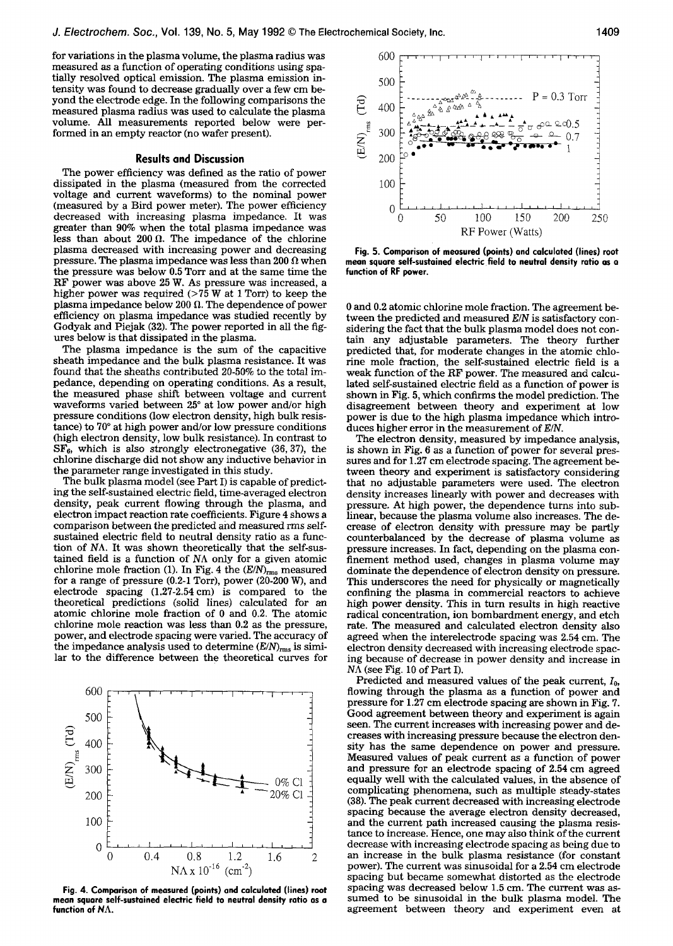for variations in the plasma volume, the plasma radius was measured as a function of operating conditions using spatially resolved optical emission. The plasma emission intensity was found to decrease gradually over a few cm beyond the electrode edge. In the following comparisons the measured plasma radius was used to calculate the plasma volume. All measurements reported below were performed in an empty reactor (no wafer present).

# **Results and Discussion**

The power efficiency was defined as the ratio of power dissipated in the plasma (measured from the corrected voltage and current waveforms) to the nominal power (measured by a Bird power meter). The power efficiency decreased with increasing plasma impedance. It was greater than 90% when the total plasma impedance was less than about  $200 \Omega$ . The impedance of the chlorine plasma decreased with increasing power and decreasing pressure. The plasma impedance was less than 200  $\Omega$  when the pressure was below 0.5 Torr and at the same time the RF power was above 25 W. As pressure was increased, a higher power was required  $($ >75 W at 1 Torr) to keep the plasma impedance below 200  $\Omega$ . The dependence of power efficiency on plasma impedance was studied recently by Godyak and Piejak (32). The power reported in all the figures below is that dissipated in the plasma.

The plasma impedance is the sum of the capacitive sheath impedance and the bulk plasma resistance. It was found that the sheaths contributed 20-50% to the total impedance, depending on operating conditions. As a result, the measured phase shift between voltage and current waveforms varied between 25° at low power and/or high pressure conditions (low electron density, high bulk resistance) to 70° at high power and/or low pressure conditions (high electron density, low bulk resistance). In contrast to  $SF<sub>6</sub>$ , which is also strongly electronegative (36, 37), the chlorine discharge did not show any inductive behavior in the parameter range investigated in this study.

The bulk plasma model (see Part I) is capable of predicting the self-sustained electric field, time-averaged electron density, peak current flowing through the plasma, and electron impact reaction rate coefficients. Figure 4 shows a comparison between the predicted and measured rms selfsustained electric field to neutral density ratio as a function of NA. It was shown theoretically that the self-sustained field is a function of NA only for a given atomic chlorine mole fraction (1). In Fig. 4 the  $(E/N)_{\text{rms}}$  measured for a range of pressure (0.2-1 Torr), power (20-200 W), and electrode spacing (1.27-2.54cm) is compared to the theoretical predictions (solid lines) calculated for an atomic chlorine mole fraction of 0 and 0.2. The atomic chlorine mole reaction was less than 0.2 as the pressure, power, and electrode spacing were varied. The accuracy of the impedance analysis used to determine  $(E/N)_{\text{rms}}$  is similar to the difference between the theoretical curves for



**Fig. 4. Comparison of measured (points) and calculated (lines) root mean square self-sustained electric field to neutral density ratio as a function of NA.** 



**Fig. 5. Comparison of measured (points) and calculated (lines) root mean square self-sustained electric.field to neutral density ratio as a function of RF power.** 

0 and 0.2 atomic chlorine mole fraction. The agreement between the predicted and measured *E/N* is satisfactory considering the fact that the bulk plasma model does not contain any adjustable parameters. The theory further predicted that, for moderate changes in the atomic chlorine mole fraction, the self-sustained electric field is a weak function of the RF power. The measured and calculated self-sustained electric field as a function of power is shown in Fig. 5, which confirms the model prediction. The disagreement between theory and experiment at low power is due to the high plasma impedance which introduces higher error in the measurement of *E/N.* 

The electron density, measured by impedance analysis, is shown in Fig. 6 as a function of power for several pressures and for 1.27 cm electrode spacing. The agreement between theory and experiment is satisfactory considering that no adjustable parameters were used. The electron density increases linearly with power and decreases with pressure. At high power, the dependence turns into sublinear, because the plasma volume also increases. The decrease of electron density with pressure may be partly counterbalanced by the decrease of plasma volume as pressure increases. In fact, depending on the plasma confinement method used, changes in plasma volume may dominate the dependence of electron density on pressure. This underscores the need for physically or magnetically confining the plasma in commercial reactors to achieve high power density. This in turn results in high reactive radical concentration, ion bombardment energy, and etch rate. The measured and calculated electron density also agreed when the interelectrode spacing was 2.54 cm. The electron density decreased with increasing electrode spacing because of decrease in power density and increase in NA (see Fig. 10 of Part I).

Predicted and measured values of the peak current,  $I_0$ , flowing through the plasma as a function of power and pressure for 1.27 cm electrode spacing are shown in Fig. 7. Good agreement between theory and experiment is again seen. The current increases with increasing power and decreases with increasing pressure because the electron density has the same dependence on power and pressure. Measured values of peak current as a function of power and pressure for an electrode spacing of 2.54 cm agreed equally well with the calculated values, in the absence of complicating phenomena, such as multiple steady-states (38). The peak current decreased with increasing electrode spacing because the average electron density decreased, and the current path increased causing the plasma resistance to increase. Hence, one may also think of the current decrease with increasing electrode spacing as being due to an increase in the bulk plasma resistance (for constant power). The current was sinusoidal for a 2.54 cm electrode spacing but became somewhat distorted as the electrode spacing was decreased below 1.5 cm. The current was assumed to be sinusoidal in the bulk plasma model. The agreement between theory and experiment even at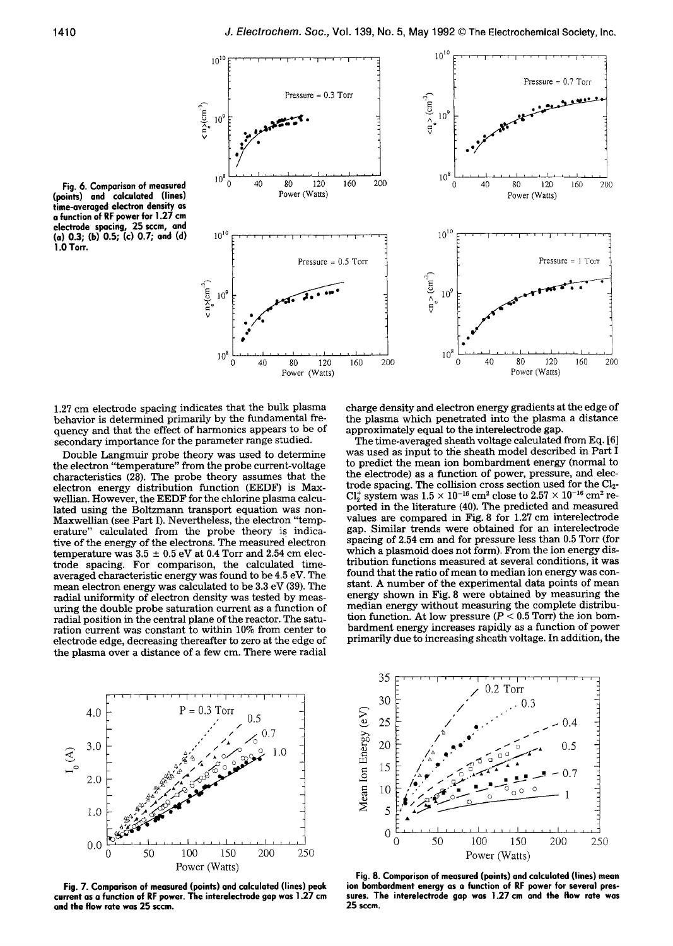

**Fig. 6. Comparison of measured (points) and calculated (lines) time-averaged electron density as a function of RF power for 1.27 cm electrode spacing, 25 sccm, and (a) 0.3; (b) 0.5; (c) 0.7; and (d) 1.0 Torr.** 

1.27 cm electrode spacing indicates that the bulk plasma behavior is determined primarily by the fundamental frequency and that the effect of harmonics appears to be of secondary importance for the parameter range studied.

Double Langmuir probe theory was used to determine the electron "temperature" from the probe current-voltage characteristics (28). The probe theory assumes that the electron energy distribution function (EEDF) is Maxwellian. However, the EEDF for the chlorine plasma calculated using the Boltzmann transport equation was non-Maxwellian (see Part I). Nevertheless, the electron "temperature" calculated from the probe theory is indicative of the energy of the electrons. The measured electron temperature was  $3.5 \pm 0.5$  eV at 0.4 Torr and 2.54 cm electrode spacing. For comparison, the calculated timeaveraged characteristic energy was found to be 4.5 eV. The mean electron energy was calculated to be 3.3 eV (39). The radial uniformity of electron density was tested by measuring the double probe saturation current as a function of radial position in the central plane of the reactor. The saturation current was constant to within 10% from center to electrode edge, decreasing thereafter to zero at the edge of the plasma over a distance of a few cm. There were radial

charge density and electron energy gradients at the edge of the plasma which penetrated into the plasma a distance approximately equal to the interelectrode gap.

The time-averaged sheath voltage calculated from Eq. [6] was used as input to the sheath model described in Part I to predict the mean ion bombardment energy (normal to the electrode) as a function of power, pressure, and electrode spacing. The collision cross section used for the C12-  $Cl<sub>2</sub><sup>+</sup>$  system was  $1.5 \times 10^{-16}$  cm<sup>2</sup> close to  $2.57 \times 10^{-16}$  cm<sup>2</sup> reported in the literature (40). The predicted and measured values are compared in Fig. 8 for 1.27 cm interelectrode gap. Similar trends were obtained for an interelectrode spacing of 2.54 cm and for pressure less than 0.5 Torr (for which a plasmoid does not form). From the ion energy distribution functions measured at several conditions, it was found that the ratio of mean to median ion energy was constant. A number of the experimental data points of mean energy shown in Fig. 8 were obtained by measuring the median energy without measuring the complete distribution function. At low pressure ( $P < 0.5$  Torr) the ion bombardment energy increases rapidly as a function of power primarily due to increasing sheath voltage. In addition, the



**Fig. 7. Comparison of measured (points) and calculated (lines) peak current as a function of RF power. The interelectrode gap was 1.27 cm and the flow rate was 25 sccm.** 



**Fig. 8. Comparison of measured (paints) and calculated (lines) mean ion bombardment energy as a function of RF power for several pressures. The interelectrode gap was 1.27 cm and the flow rate was 25 sccm.**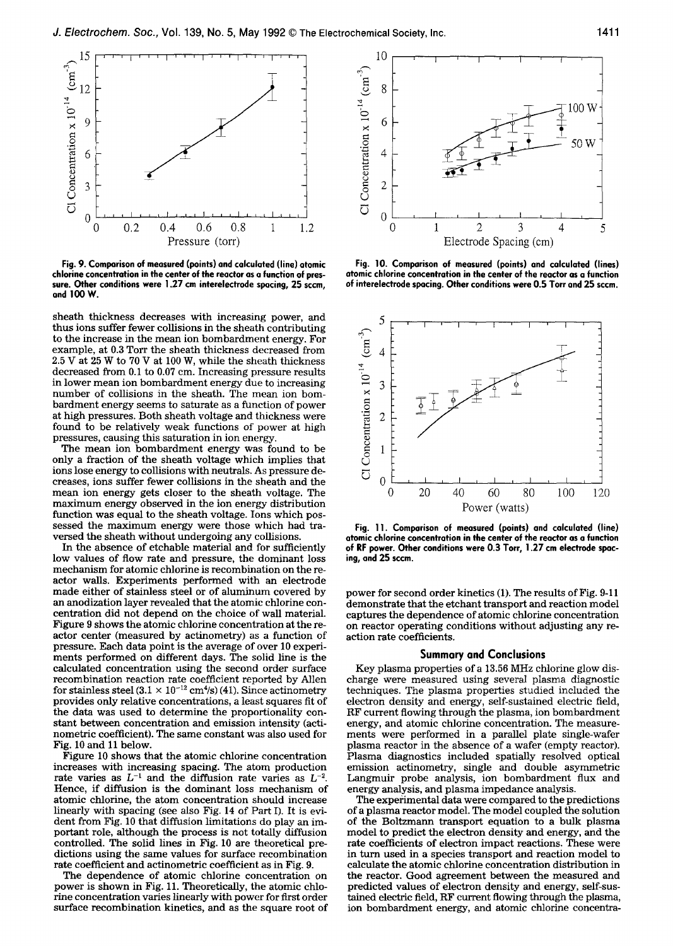

**Fig. 9. Comparison of measured (points) and calculated (line) atomic chlorine concentration in the center of the reactor as a function of pressure. Other conditions were 1.27 cm interelectrode spacing, 25 sccm, and 100 W.** 

sheath thickness decreases with increasing power, and thus ions suffer fewer collisions in the sheath contributing to the increase in the mean ion bombardment energy. For example, at 0.3 Torr the sheath thickness decreased from 2.5 V at 25 W to 70 V at 100 W, while the sheath thickness decreased from 0.1 to 0.07 cm. Increasing pressure results in lower mean ion bombardment energy due to increasing number of collisions in the sheath. The mean ion bombardment energy seems to saturate as a function of power at high pressures. Both sheath voltage and thickness were found to be relatively weak functions of power at high pressures, causing this saturation in ion energy.

The mean ion bombardment energy was found to be only a fraction of the sheath voltage which implies that ions lose energy to collisions with neutrals. As pressure decreases, ions suffer fewer collisions in the sheath and the mean ion energy gets closer to the sheath voltage. The maximum energy observed in the ion energy distribution function was equal to the sheath voltage. Ions which possessed the maximum energy were those which had traversed the sheath without undergoing any collisions.

In the absence of etchable material and for sufficiently low values of flow rate and pressure, the dominant loss mechanism for atomic chlorine is recombination on the reactor walls. Experiments performed with an electrode made either of stainless steel or of aluminum covered by an anodization layer revealed that the atomic chlorine concentration did not depend on the choice of wall material. Figure 9 shows the atomic chlorine concentration at the reactor center (measured by actinometry) as a function of pressure. Each data point is the average of over 10 experiments performed on different days. The solid line is the calculated concentration using the second order surface recombination reaction rate coefficient reported by Allen for stainless steel  $(3.1 \times 10^{-12} \text{ cm}^4/\text{s})$  (41). Since actinometry provides only relative concentrations, a least squares fit of the data was used to determine the proportionality constant between concentration and emission intensity (actinometric coefficient). The same constant was also used for Fig. 10 and 11 below.

Figure 10 shows that the atomic chlorine concentration increases with increasing spacing. The atom production rate varies as  $L^{-1}$  and the diffusion rate varies as  $L^{-2}$ . Hence, if diffusion is the dominant loss mechanism of atomic chlorine, the atom concentration should increase linearly with spacing (see also Fig. 14 of Part I). It is evident from Fig. 10 that diffusion limitations do play an important role, although the process is not totally diffusion controlled. The solid lines in Fig. 10 are theoretical predictions using the same values for surface recombination rate coefficient and actinometric coefficient as in Fig. 9.

The dependence of atomic chlorine concentration on power is shown in Fig. 11. Theoretically, the atomic chlorine concentration varies linearly with power for first order surface recombination kinetics, and as the square root of



**Fig. 10. Comparison of measured (points) and calculated (lines) atomic chlorine concentration in the center of the reactor as a function of interelectrode spacing. Other conditions were 0.5 Tort and 25 sccm.** 



**Fig. 11. Comparison of measured (points) and calculated (line) atomic chlorine concentration in the center of the reactor as a function of RF power. Other conditions were 0.3 Torr, 1.27 cm electrode spacing, and 25 sccm.** 

power for second order kinetics (1). The results of Fig. 9-11 demonstrate that the etchant transport and reaction model captures the dependence of atomic chlorine concentration on reactor operating conditions without adjusting any reaction rate coefficients.

# **Summary and Conclusions**

Key plasma properties of a 13.56 MHz chlorine glow discharge were measured using several plasma diagnostic techniques. The plasma properties studied included the electron density and energy, self-sustained electric field, RF current flowing through the plasma, ion bombardment energy, and atomic chlorine concentration. The measurements were performed in a parallel plate single-wafer plasma reactor in the absence of a wafer (empty reactor). Plasma diagnostics included spatially resolved optical emission actinometry, single and double asymmetric Langmuir probe analysis, ion bombardment flux and energy analysis, and plasma impedance analysis.

The experimental data were compared to the predictions of a plasma reactor model. The model coupled the solution of the Boltzmann transport equation to a bulk plasma model to predict the electron density and energy, and the rate coefficients of electron impact reactions. These were in turn used in a species transport and reaction model to calculate the atomic chlorine concentration distribution in the reactor. Good agreement between the measured and predicted values of electron density and energy, self-sustained electric field, RF current flowing through the plasma, ion bombardment energy, and atomic chlorine concentra